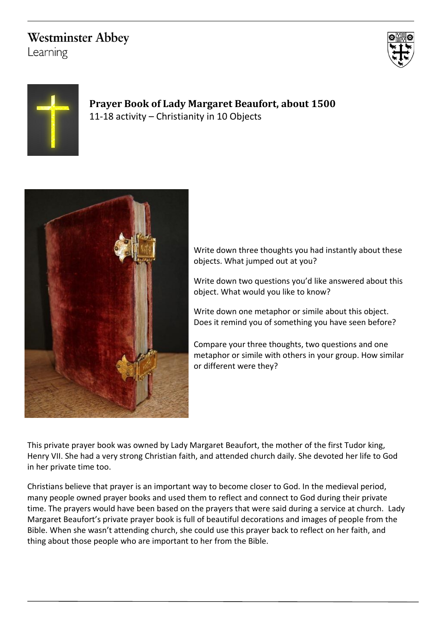# **Westminster Abbey**

Learning





## **Prayer Book of Lady Margaret Beaufort, about 1500** 11-18 activity – Christianity in 10 Objects



Write down three thoughts you had instantly about these objects. What jumped out at you?

Write down two questions you'd like answered about this object. What would you like to know?

Write down one metaphor or simile about this object. Does it remind you of something you have seen before?

Compare your three thoughts, two questions and one metaphor or simile with others in your group. How similar or different were they?

This private prayer book was owned by Lady Margaret Beaufort, the mother of the first Tudor king, Henry VII. She had a very strong Christian faith, and attended church daily. She devoted her life to God in her private time too.

Christians believe that prayer is an important way to become closer to God. In the medieval period, many people owned prayer books and used them to reflect and connect to God during their private time. The prayers would have been based on the prayers that were said during a service at church. Lady Margaret Beaufort's private prayer book is full of beautiful decorations and images of people from the Bible. When she wasn't attending church, she could use this prayer back to reflect on her faith, and thing about those people who are important to her from the Bible.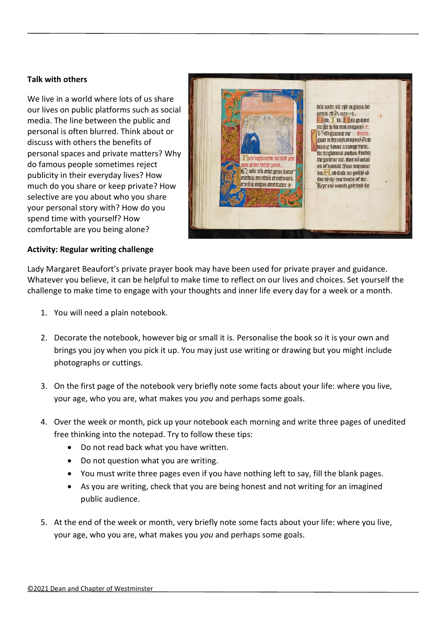#### **Talk with others**

We live in a world where lots of us share our lives on public platforms such as social media. The line between the public and personal is often blurred. Think about or discuss with others the benefits of personal spaces and private matters? Why do famous people sometimes reject publicity in their everyday lives? How much do you share or keep private? How selective are you about who you share your personal story with? How do you spend time with yourself? How comfortable are you being alone?



#### **Activity: Regular writing challenge**

Lady Margaret Beaufort's private prayer book may have been used for private prayer and guidance. Whatever you believe, it can be helpful to make time to reflect on our lives and choices. Set yourself the challenge to make time to engage with your thoughts and inner life every day for a week or a month.

- 1. You will need a plain notebook.
- 2. Decorate the notebook, however big or small it is. Personalise the book so it is your own and brings you joy when you pick it up. You may just use writing or drawing but you might include photographs or cuttings.
- 3. On the first page of the notebook very briefly note some facts about your life: where you live, your age, who you are, what makes you *you* and perhaps some goals.
- 4. Over the week or month, pick up your notebook each morning and write three pages of unedited free thinking into the notepad. Try to follow these tips:
	- Do not read back what you have written.
	- Do not question what you are writing.
	- You must write three pages even if you have nothing left to say, fill the blank pages.
	- As you are writing, check that you are being honest and not writing for an imagined public audience.
- 5. At the end of the week or month, very briefly note some facts about your life: where you live, your age, who you are, what makes you *you* and perhaps some goals.